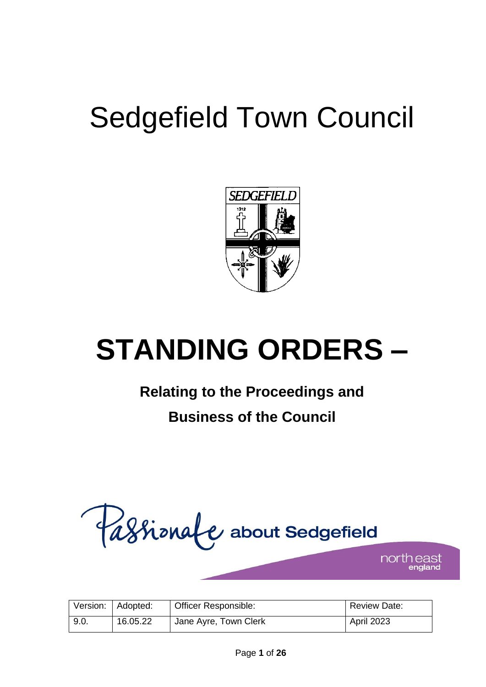# Sedgefield Town Council



# **STANDING ORDERS –**

# **Relating to the Proceedings and**

# **Business of the Council**



north east

|      | Version:   Adopted: | Officer Responsible:  | Review Date:      |
|------|---------------------|-----------------------|-------------------|
| 9.0. | 16.05.22            | Jane Ayre, Town Clerk | <b>April 2023</b> |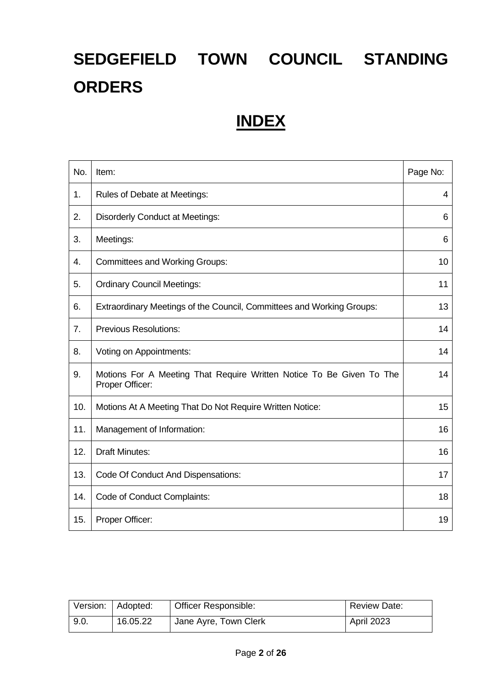# **SEDGEFIELD TOWN COUNCIL STANDING ORDERS**

# **INDEX**

| No. | Item:                                                                                   | Page No: |
|-----|-----------------------------------------------------------------------------------------|----------|
| 1.  | Rules of Debate at Meetings:                                                            | 4        |
| 2.  | <b>Disorderly Conduct at Meetings:</b>                                                  | 6        |
| 3.  | Meetings:                                                                               | 6        |
| 4.  | <b>Committees and Working Groups:</b>                                                   | 10       |
| 5.  | <b>Ordinary Council Meetings:</b>                                                       | 11       |
| 6.  | Extraordinary Meetings of the Council, Committees and Working Groups:                   | 13       |
| 7.  | <b>Previous Resolutions:</b>                                                            | 14       |
| 8.  | Voting on Appointments:                                                                 | 14       |
| 9.  | Motions For A Meeting That Require Written Notice To Be Given To The<br>Proper Officer: | 14       |
| 10. | Motions At A Meeting That Do Not Require Written Notice:                                | 15       |
| 11. | Management of Information:                                                              | 16       |
| 12. | <b>Draft Minutes:</b>                                                                   | 16       |
| 13. | Code Of Conduct And Dispensations:                                                      | 17       |
| 14. | Code of Conduct Complaints:                                                             | 18       |
| 15. | Proper Officer:                                                                         | 19       |

|      | Version:   Adopted: | Officer Responsible:  | <b>Review Date:</b> |
|------|---------------------|-----------------------|---------------------|
| 9.0. | 16.05.22            | Jane Ayre, Town Clerk | <b>April 2023</b>   |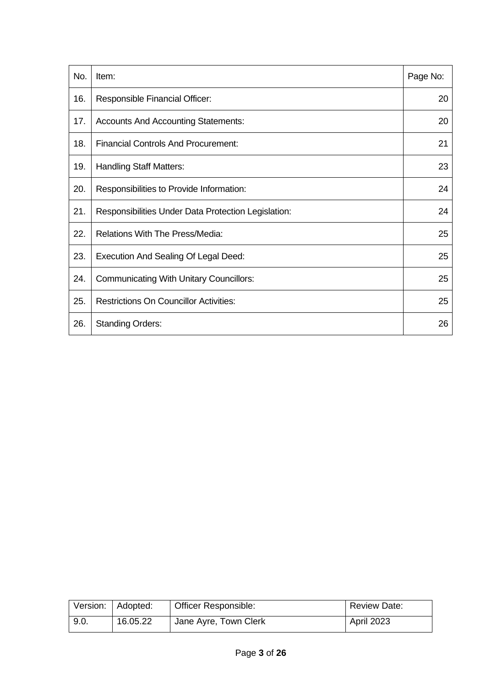| No. | Item:                                               | Page No: |
|-----|-----------------------------------------------------|----------|
| 16. | Responsible Financial Officer:                      | 20       |
| 17. | <b>Accounts And Accounting Statements:</b>          | 20       |
| 18. | <b>Financial Controls And Procurement:</b>          | 21       |
| 19. | <b>Handling Staff Matters:</b>                      | 23       |
| 20. | Responsibilities to Provide Information:            | 24       |
| 21. | Responsibilities Under Data Protection Legislation: | 24       |
| 22. | <b>Relations With The Press/Media:</b>              | 25       |
| 23. | <b>Execution And Sealing Of Legal Deed:</b>         | 25       |
| 24. | <b>Communicating With Unitary Councillors:</b>      | 25       |
| 25. | <b>Restrictions On Councillor Activities:</b>       | 25       |
| 26. | <b>Standing Orders:</b>                             | 26       |

|      | Version:   Adopted: | <b>Officer Responsible:</b> | Review Date:      |
|------|---------------------|-----------------------------|-------------------|
| 9.0. | 16.05.22            | Jane Ayre, Town Clerk       | <b>April 2023</b> |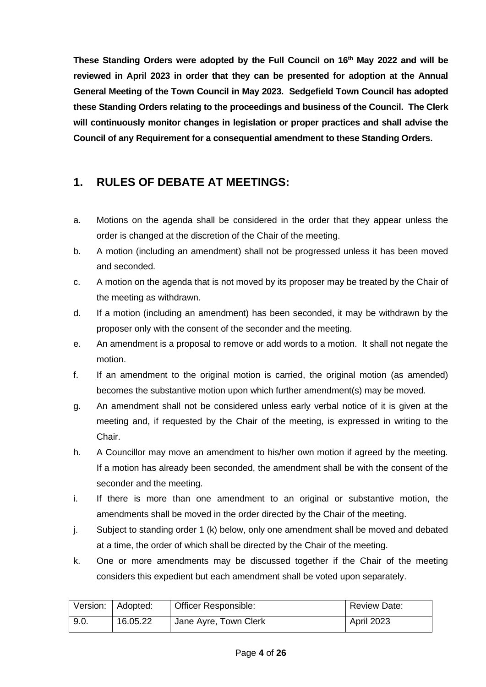**These Standing Orders were adopted by the Full Council on 16th May 2022 and will be reviewed in April 2023 in order that they can be presented for adoption at the Annual General Meeting of the Town Council in May 2023. Sedgefield Town Council has adopted these Standing Orders relating to the proceedings and business of the Council. The Clerk will continuously monitor changes in legislation or proper practices and shall advise the Council of any Requirement for a consequential amendment to these Standing Orders.** 

#### **1. RULES OF DEBATE AT MEETINGS:**

- a. Motions on the agenda shall be considered in the order that they appear unless the order is changed at the discretion of the Chair of the meeting.
- b. A motion (including an amendment) shall not be progressed unless it has been moved and seconded.
- c. A motion on the agenda that is not moved by its proposer may be treated by the Chair of the meeting as withdrawn.
- d. If a motion (including an amendment) has been seconded, it may be withdrawn by the proposer only with the consent of the seconder and the meeting.
- e. An amendment is a proposal to remove or add words to a motion. It shall not negate the motion.
- f. If an amendment to the original motion is carried, the original motion (as amended) becomes the substantive motion upon which further amendment(s) may be moved.
- g. An amendment shall not be considered unless early verbal notice of it is given at the meeting and, if requested by the Chair of the meeting, is expressed in writing to the Chair.
- h. A Councillor may move an amendment to his/her own motion if agreed by the meeting. If a motion has already been seconded, the amendment shall be with the consent of the seconder and the meeting.
- i. If there is more than one amendment to an original or substantive motion, the amendments shall be moved in the order directed by the Chair of the meeting.
- j. Subject to standing order 1 (k) below, only one amendment shall be moved and debated at a time, the order of which shall be directed by the Chair of the meeting.
- k. One or more amendments may be discussed together if the Chair of the meeting considers this expedient but each amendment shall be voted upon separately.

|      | Version: Adopted: | Officer Responsible:  | <b>Review Date:</b> |
|------|-------------------|-----------------------|---------------------|
| 9.0. | 16.05.22          | Jane Ayre, Town Clerk | <b>April 2023</b>   |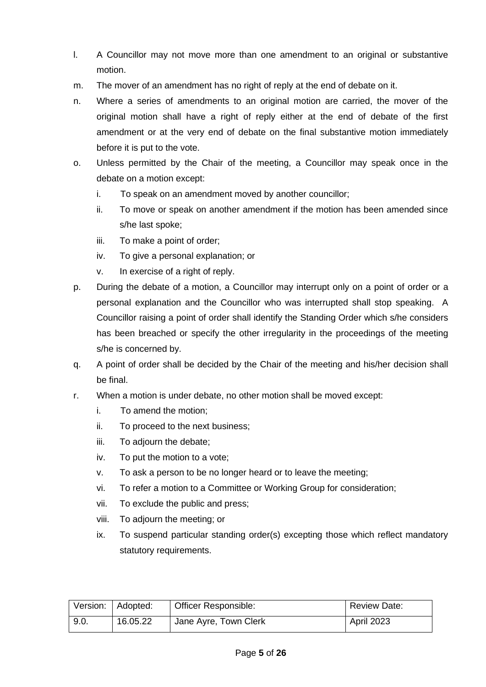- l. A Councillor may not move more than one amendment to an original or substantive motion.
- m. The mover of an amendment has no right of reply at the end of debate on it.
- n. Where a series of amendments to an original motion are carried, the mover of the original motion shall have a right of reply either at the end of debate of the first amendment or at the very end of debate on the final substantive motion immediately before it is put to the vote.
- o. Unless permitted by the Chair of the meeting, a Councillor may speak once in the debate on a motion except:
	- i. To speak on an amendment moved by another councillor;
	- ii. To move or speak on another amendment if the motion has been amended since s/he last spoke;
	- iii. To make a point of order;
	- iv. To give a personal explanation; or
	- v. In exercise of a right of reply.
- p. During the debate of a motion, a Councillor may interrupt only on a point of order or a personal explanation and the Councillor who was interrupted shall stop speaking. A Councillor raising a point of order shall identify the Standing Order which s/he considers has been breached or specify the other irregularity in the proceedings of the meeting s/he is concerned by.
- q. A point of order shall be decided by the Chair of the meeting and his/her decision shall be final.
- r. When a motion is under debate, no other motion shall be moved except:
	- i. To amend the motion;
	- ii. To proceed to the next business;
	- iii. To adjourn the debate;
	- iv. To put the motion to a vote;
	- v. To ask a person to be no longer heard or to leave the meeting;
	- vi. To refer a motion to a Committee or Working Group for consideration;
	- vii. To exclude the public and press;
	- viii. To adjourn the meeting; or
	- ix. To suspend particular standing order(s) excepting those which reflect mandatory statutory requirements.

|      | Version:   Adopted: | Officer Responsible:  | <b>Review Date:</b> |
|------|---------------------|-----------------------|---------------------|
| 9.0. | 16.05.22            | Jane Ayre, Town Clerk | April 2023          |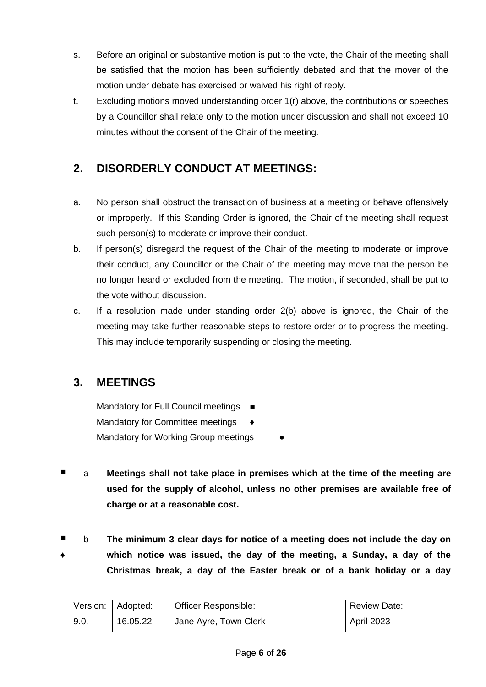- s. Before an original or substantive motion is put to the vote, the Chair of the meeting shall be satisfied that the motion has been sufficiently debated and that the mover of the motion under debate has exercised or waived his right of reply.
- t. Excluding motions moved understanding order 1(r) above, the contributions or speeches by a Councillor shall relate only to the motion under discussion and shall not exceed 10 minutes without the consent of the Chair of the meeting.

#### **2. DISORDERLY CONDUCT AT MEETINGS:**

- a. No person shall obstruct the transaction of business at a meeting or behave offensively or improperly. If this Standing Order is ignored, the Chair of the meeting shall request such person(s) to moderate or improve their conduct.
- b. If person(s) disregard the request of the Chair of the meeting to moderate or improve their conduct, any Councillor or the Chair of the meeting may move that the person be no longer heard or excluded from the meeting. The motion, if seconded, shall be put to the vote without discussion.
- c. If a resolution made under standing order 2(b) above is ignored, the Chair of the meeting may take further reasonable steps to restore order or to progress the meeting. This may include temporarily suspending or closing the meeting.

#### **3. MEETINGS**

Mandatory for Full Council meetings ■ Mandatory for Committee meetings Mandatory for Working Group meetings

- a **Meetings shall not take place in premises which at the time of the meeting are used for the supply of alcohol, unless no other premises are available free of charge or at a reasonable cost.**
- ♦ b **The minimum 3 clear days for notice of a meeting does not include the day on which notice was issued, the day of the meeting, a Sunday, a day of the Christmas break, a day of the Easter break or of a bank holiday or a day**

|      | Version:   Adopted: | <b>Officer Responsible:</b> | <b>Review Date:</b> |
|------|---------------------|-----------------------------|---------------------|
| 9.0. | 16.05.22            | Jane Ayre, Town Clerk       | April 2023          |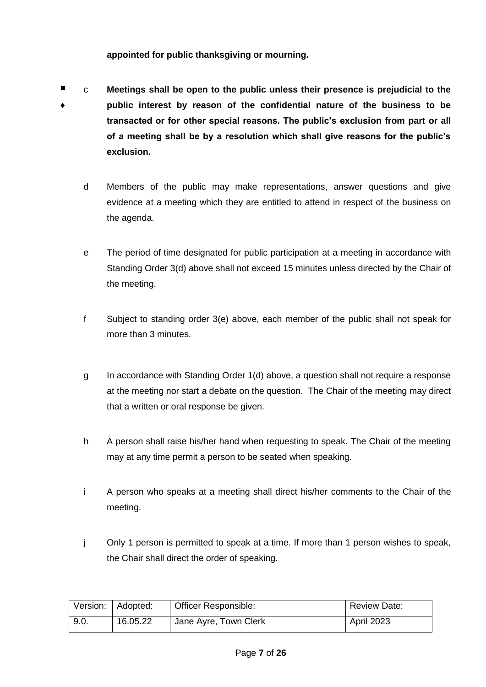#### **appointed for public thanksgiving or mourning.**

- ♦ c **Meetings shall be open to the public unless their presence is prejudicial to the public interest by reason of the confidential nature of the business to be transacted or for other special reasons. The public's exclusion from part or all of a meeting shall be by a resolution which shall give reasons for the public's exclusion.**
	- d Members of the public may make representations, answer questions and give evidence at a meeting which they are entitled to attend in respect of the business on the agenda.
	- e The period of time designated for public participation at a meeting in accordance with Standing Order 3(d) above shall not exceed 15 minutes unless directed by the Chair of the meeting.
	- f Subject to standing order 3(e) above, each member of the public shall not speak for more than 3 minutes.
	- g In accordance with Standing Order 1(d) above, a question shall not require a response at the meeting nor start a debate on the question. The Chair of the meeting may direct that a written or oral response be given.
	- h A person shall raise his/her hand when requesting to speak. The Chair of the meeting may at any time permit a person to be seated when speaking.
	- i A person who speaks at a meeting shall direct his/her comments to the Chair of the meeting.
	- j Only 1 person is permitted to speak at a time. If more than 1 person wishes to speak, the Chair shall direct the order of speaking.

|      | Version:   Adopted: | <b>Officer Responsible:</b> | Review Date: |
|------|---------------------|-----------------------------|--------------|
| 9.0. | 16.05.22            | Jane Ayre, Town Clerk       | April 2023   |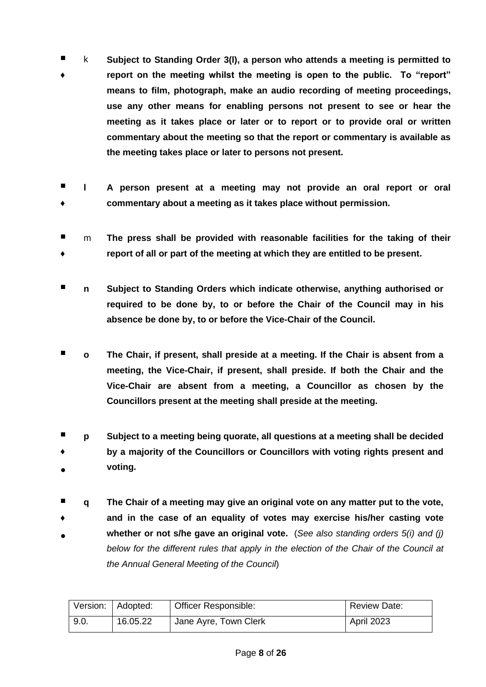- ♦ k **Subject to Standing Order 3(l), a person who attends a meeting is permitted to report on the meeting whilst the meeting is open to the public. To "report" means to film, photograph, make an audio recording of meeting proceedings, use any other means for enabling persons not present to see or hear the meeting as it takes place or later or to report or to provide oral or written commentary about the meeting so that the report or commentary is available as the meeting takes place or later to persons not present.**
- ♦ **l A person present at a meeting may not provide an oral report or oral commentary about a meeting as it takes place without permission.**
- ♦ m **The press shall be provided with reasonable facilities for the taking of their report of all or part of the meeting at which they are entitled to be present.**
- **n Subject to Standing Orders which indicate otherwise, anything authorised or required to be done by, to or before the Chair of the Council may in his absence be done by, to or before the Vice-Chair of the Council.**
- **o The Chair, if present, shall preside at a meeting. If the Chair is absent from a meeting, the Vice-Chair, if present, shall preside. If both the Chair and the Vice-Chair are absent from a meeting, a Councillor as chosen by the Councillors present at the meeting shall preside at the meeting.**
- ♦ ● **p Subject to a meeting being quorate, all questions at a meeting shall be decided by a majority of the Councillors or Councillors with voting rights present and voting.**
- **q The Chair of a meeting may give an original vote on any matter put to the vote,**
- ♦ ● **and in the case of an equality of votes may exercise his/her casting vote whether or not s/he gave an original vote.** (*See also standing orders 5(i) and (j) below for the different rules that apply in the election of the Chair of the Council at the Annual General Meeting of the Council*)

|      | Version:   Adopted: | <b>Officer Responsible:</b> | <b>Review Date:</b> |
|------|---------------------|-----------------------------|---------------------|
| 9.0. | 16.05.22            | Jane Ayre, Town Clerk       | April 2023          |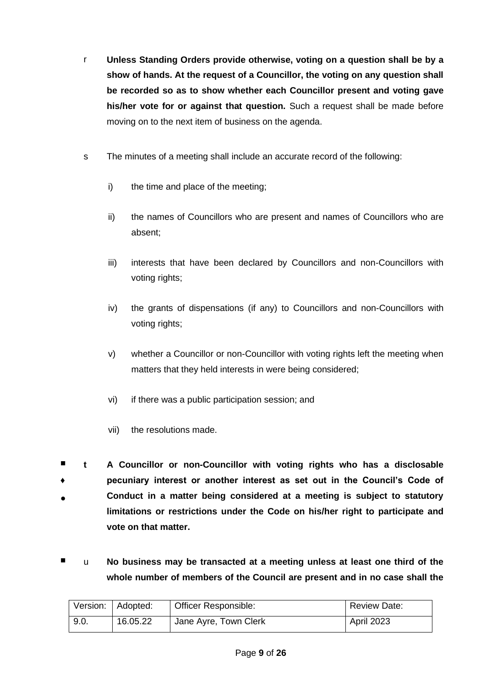- r **Unless Standing Orders provide otherwise, voting on a question shall be by a show of hands. At the request of a Councillor, the voting on any question shall be recorded so as to show whether each Councillor present and voting gave his/her vote for or against that question.** Such a request shall be made before moving on to the next item of business on the agenda.
- s The minutes of a meeting shall include an accurate record of the following:
	- i) the time and place of the meeting;
	- ii) the names of Councillors who are present and names of Councillors who are absent;
	- iii) interests that have been declared by Councillors and non-Councillors with voting rights;
	- iv) the grants of dispensations (if any) to Councillors and non-Councillors with voting rights;
	- v) whether a Councillor or non-Councillor with voting rights left the meeting when matters that they held interests in were being considered;
	- vi) if there was a public participation session; and
	- vii) the resolutions made.
- ♦ ● **t A Councillor or non-Councillor with voting rights who has a disclosable pecuniary interest or another interest as set out in the Council's Code of Conduct in a matter being considered at a meeting is subject to statutory limitations or restrictions under the Code on his/her right to participate and vote on that matter.**
- u No business may be transacted at a meeting unless at least one third of the **whole number of members of the Council are present and in no case shall the**

|      | Version:   Adopted: | <b>Officer Responsible:</b> | <b>Review Date:</b> |
|------|---------------------|-----------------------------|---------------------|
| 9.0. | 16.05.22            | Jane Ayre, Town Clerk       | <b>April 2023</b>   |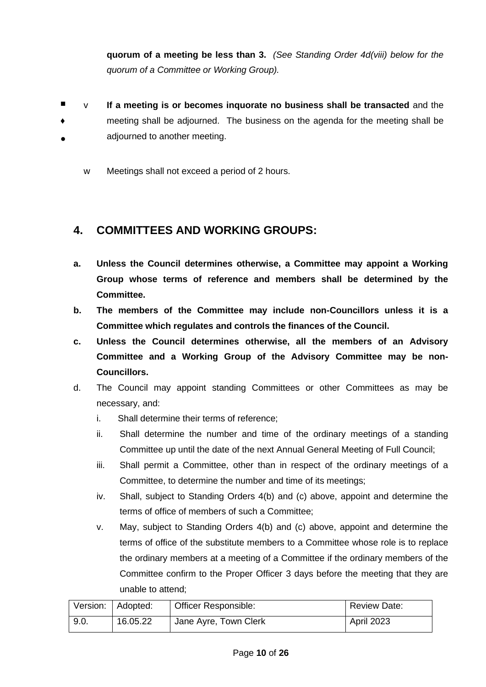**quorum of a meeting be less than 3.** *(See Standing Order 4d(viii) below for the quorum of a Committee or Working Group).*

- ♦ ● v **If a meeting is or becomes inquorate no business shall be transacted** and the meeting shall be adjourned. The business on the agenda for the meeting shall be adjourned to another meeting.
	- w Meetings shall not exceed a period of 2 hours.

#### **4. COMMITTEES AND WORKING GROUPS:**

- **a. Unless the Council determines otherwise, a Committee may appoint a Working Group whose terms of reference and members shall be determined by the Committee.**
- **b. The members of the Committee may include non-Councillors unless it is a Committee which regulates and controls the finances of the Council.**
- **c. Unless the Council determines otherwise, all the members of an Advisory Committee and a Working Group of the Advisory Committee may be non-Councillors.**
- d. The Council may appoint standing Committees or other Committees as may be necessary, and:
	- i. Shall determine their terms of reference;
	- ii. Shall determine the number and time of the ordinary meetings of a standing Committee up until the date of the next Annual General Meeting of Full Council;
	- iii. Shall permit a Committee, other than in respect of the ordinary meetings of a Committee, to determine the number and time of its meetings;
	- iv. Shall, subject to Standing Orders 4(b) and (c) above, appoint and determine the terms of office of members of such a Committee;
	- v. May, subject to Standing Orders 4(b) and (c) above, appoint and determine the terms of office of the substitute members to a Committee whose role is to replace the ordinary members at a meeting of a Committee if the ordinary members of the Committee confirm to the Proper Officer 3 days before the meeting that they are unable to attend;

|      | Version:   Adopted: | <b>Officer Responsible:</b> | <b>Review Date:</b> |
|------|---------------------|-----------------------------|---------------------|
| 9.0. | 16.05.22            | Jane Ayre, Town Clerk       | <b>April 2023</b>   |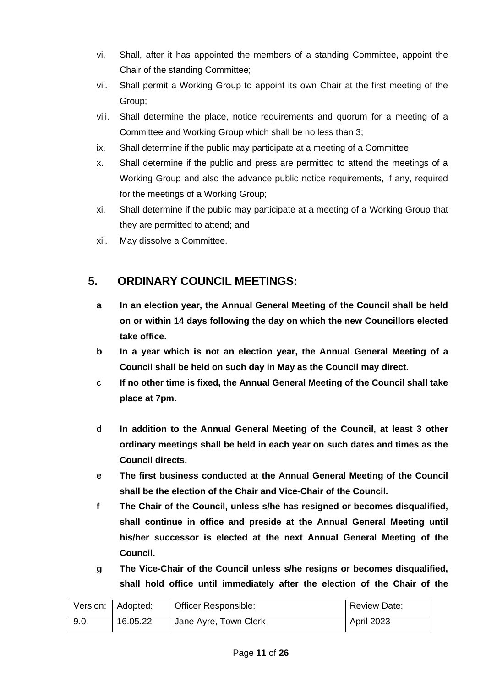- vi. Shall, after it has appointed the members of a standing Committee, appoint the Chair of the standing Committee;
- vii. Shall permit a Working Group to appoint its own Chair at the first meeting of the Group;
- viii. Shall determine the place, notice requirements and quorum for a meeting of a Committee and Working Group which shall be no less than 3;
- ix. Shall determine if the public may participate at a meeting of a Committee;
- x. Shall determine if the public and press are permitted to attend the meetings of a Working Group and also the advance public notice requirements, if any, required for the meetings of a Working Group;
- xi. Shall determine if the public may participate at a meeting of a Working Group that they are permitted to attend; and
- xii. May dissolve a Committee.

#### **5. ORDINARY COUNCIL MEETINGS:**

- **a In an election year, the Annual General Meeting of the Council shall be held on or within 14 days following the day on which the new Councillors elected take office.**
- **b In a year which is not an election year, the Annual General Meeting of a Council shall be held on such day in May as the Council may direct.**
- c **If no other time is fixed, the Annual General Meeting of the Council shall take place at 7pm.**
- d **In addition to the Annual General Meeting of the Council, at least 3 other ordinary meetings shall be held in each year on such dates and times as the Council directs.**
- **e The first business conducted at the Annual General Meeting of the Council shall be the election of the Chair and Vice-Chair of the Council.**
- **f The Chair of the Council, unless s/he has resigned or becomes disqualified, shall continue in office and preside at the Annual General Meeting until his/her successor is elected at the next Annual General Meeting of the Council.**
- **g The Vice-Chair of the Council unless s/he resigns or becomes disqualified, shall hold office until immediately after the election of the Chair of the**

| Version: Adopted: |          | Officer Responsible:               | <b>Review Date:</b> |
|-------------------|----------|------------------------------------|---------------------|
| 9.0.              | 16.05.22 | <sup>1</sup> Jane Ayre, Town Clerk | <b>April 2023</b>   |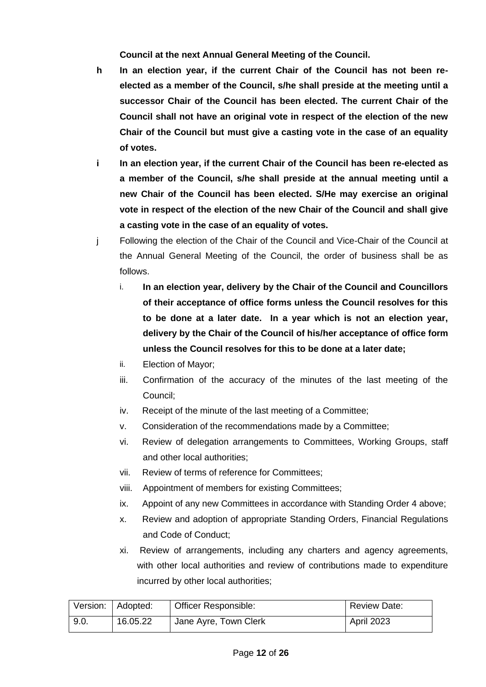**Council at the next Annual General Meeting of the Council.**

- **h In an election year, if the current Chair of the Council has not been reelected as a member of the Council, s/he shall preside at the meeting until a successor Chair of the Council has been elected. The current Chair of the Council shall not have an original vote in respect of the election of the new Chair of the Council but must give a casting vote in the case of an equality of votes.**
- **i In an election year, if the current Chair of the Council has been re-elected as a member of the Council, s/he shall preside at the annual meeting until a new Chair of the Council has been elected. S/He may exercise an original vote in respect of the election of the new Chair of the Council and shall give a casting vote in the case of an equality of votes.**
- j Following the election of the Chair of the Council and Vice-Chair of the Council at the Annual General Meeting of the Council, the order of business shall be as follows.
	- i. **In an election year, delivery by the Chair of the Council and Councillors of their acceptance of office forms unless the Council resolves for this to be done at a later date. In a year which is not an election year, delivery by the Chair of the Council of his/her acceptance of office form unless the Council resolves for this to be done at a later date;**
	- ii. Election of Mayor;
	- iii. Confirmation of the accuracy of the minutes of the last meeting of the Council;
	- iv. Receipt of the minute of the last meeting of a Committee;
	- v. Consideration of the recommendations made by a Committee;
	- vi. Review of delegation arrangements to Committees, Working Groups, staff and other local authorities;
	- vii. Review of terms of reference for Committees;
	- viii. Appointment of members for existing Committees;
	- ix. Appoint of any new Committees in accordance with Standing Order 4 above;
	- x. Review and adoption of appropriate Standing Orders, Financial Regulations and Code of Conduct;
	- xi. Review of arrangements, including any charters and agency agreements, with other local authorities and review of contributions made to expenditure incurred by other local authorities;

|      | Version: Adopted: | <b>Officer Responsible:</b> | <b>Review Date:</b> |
|------|-------------------|-----------------------------|---------------------|
| 9.0. | 16.05.22          | Jane Ayre, Town Clerk       | April 2023          |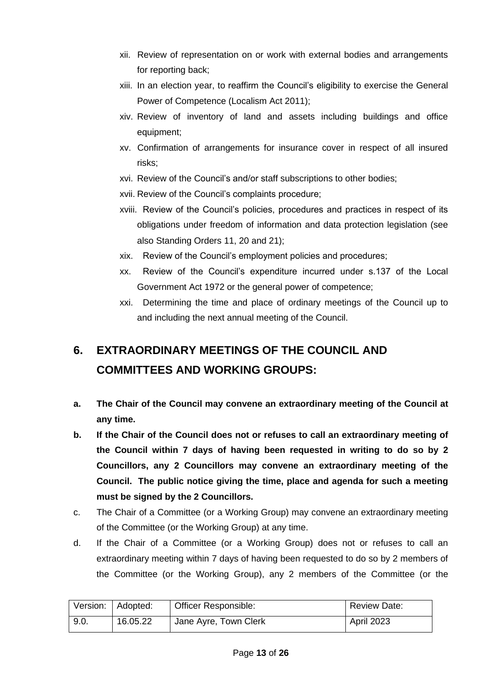- xii. Review of representation on or work with external bodies and arrangements for reporting back;
- xiii. In an election year, to reaffirm the Council's eligibility to exercise the General Power of Competence (Localism Act 2011);
- xiv. Review of inventory of land and assets including buildings and office equipment;
- xv. Confirmation of arrangements for insurance cover in respect of all insured risks;
- xvi. Review of the Council's and/or staff subscriptions to other bodies;
- xvii. Review of the Council's complaints procedure;
- xviii. Review of the Council's policies, procedures and practices in respect of its obligations under freedom of information and data protection legislation (see also Standing Orders 11, 20 and 21);
- xix. Review of the Council's employment policies and procedures;
- xx. Review of the Council's expenditure incurred under s.137 of the Local Government Act 1972 or the general power of competence;
- xxi. Determining the time and place of ordinary meetings of the Council up to and including the next annual meeting of the Council.

## **6. EXTRAORDINARY MEETINGS OF THE COUNCIL AND COMMITTEES AND WORKING GROUPS:**

- **a. The Chair of the Council may convene an extraordinary meeting of the Council at any time.**
- **b. If the Chair of the Council does not or refuses to call an extraordinary meeting of the Council within 7 days of having been requested in writing to do so by 2 Councillors, any 2 Councillors may convene an extraordinary meeting of the Council. The public notice giving the time, place and agenda for such a meeting must be signed by the 2 Councillors.**
- c. The Chair of a Committee (or a Working Group) may convene an extraordinary meeting of the Committee (or the Working Group) at any time.
- d. If the Chair of a Committee (or a Working Group) does not or refuses to call an extraordinary meeting within 7 days of having been requested to do so by 2 members of the Committee (or the Working Group), any 2 members of the Committee (or the

|      | Version:   Adopted: | Officer Responsible:  | <b>Review Date:</b> |
|------|---------------------|-----------------------|---------------------|
| 9.0. | 16.05.22            | Jane Ayre, Town Clerk | <b>April 2023</b>   |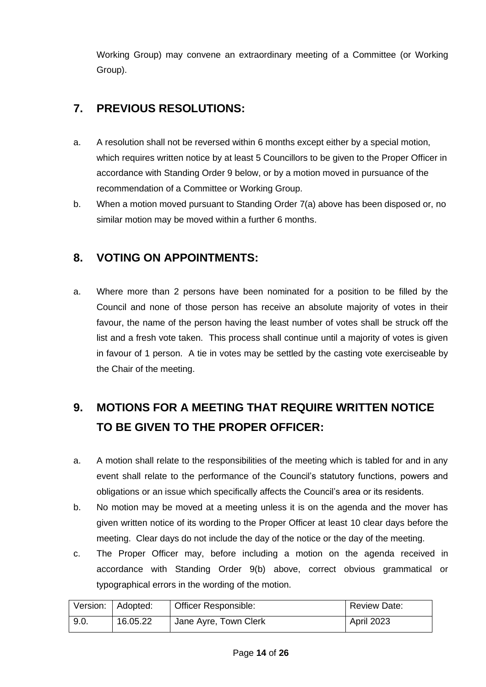Working Group) may convene an extraordinary meeting of a Committee (or Working Group).

#### **7. PREVIOUS RESOLUTIONS:**

- a. A resolution shall not be reversed within 6 months except either by a special motion, which requires written notice by at least 5 Councillors to be given to the Proper Officer in accordance with Standing Order 9 below, or by a motion moved in pursuance of the recommendation of a Committee or Working Group.
- b. When a motion moved pursuant to Standing Order 7(a) above has been disposed or, no similar motion may be moved within a further 6 months.

#### **8. VOTING ON APPOINTMENTS:**

a. Where more than 2 persons have been nominated for a position to be filled by the Council and none of those person has receive an absolute majority of votes in their favour, the name of the person having the least number of votes shall be struck off the list and a fresh vote taken. This process shall continue until a majority of votes is given in favour of 1 person. A tie in votes may be settled by the casting vote exerciseable by the Chair of the meeting.

## **9. MOTIONS FOR A MEETING THAT REQUIRE WRITTEN NOTICE TO BE GIVEN TO THE PROPER OFFICER:**

- a. A motion shall relate to the responsibilities of the meeting which is tabled for and in any event shall relate to the performance of the Council's statutory functions, powers and obligations or an issue which specifically affects the Council's area or its residents.
- b. No motion may be moved at a meeting unless it is on the agenda and the mover has given written notice of its wording to the Proper Officer at least 10 clear days before the meeting. Clear days do not include the day of the notice or the day of the meeting.
- c. The Proper Officer may, before including a motion on the agenda received in accordance with Standing Order 9(b) above, correct obvious grammatical or typographical errors in the wording of the motion.

|      | Version:   Adopted: | Officer Responsible:  | Review Date: |
|------|---------------------|-----------------------|--------------|
| 9.0. | 16.05.22            | Jane Ayre, Town Clerk | April 2023   |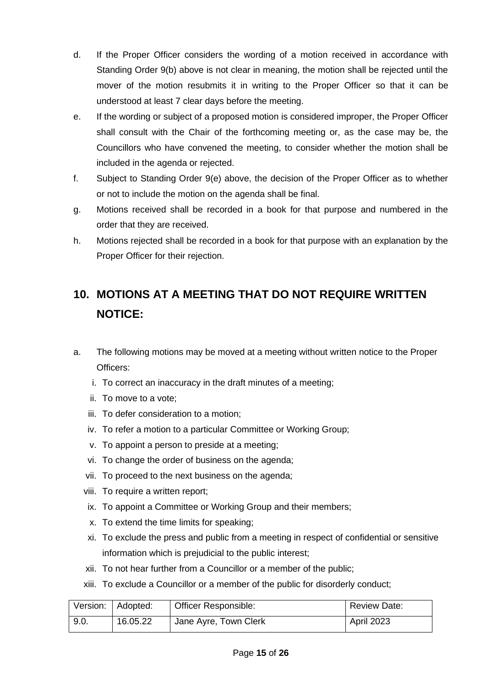- d. If the Proper Officer considers the wording of a motion received in accordance with Standing Order 9(b) above is not clear in meaning, the motion shall be rejected until the mover of the motion resubmits it in writing to the Proper Officer so that it can be understood at least 7 clear days before the meeting.
- e. If the wording or subject of a proposed motion is considered improper, the Proper Officer shall consult with the Chair of the forthcoming meeting or, as the case may be, the Councillors who have convened the meeting, to consider whether the motion shall be included in the agenda or rejected.
- f. Subject to Standing Order 9(e) above, the decision of the Proper Officer as to whether or not to include the motion on the agenda shall be final.
- g. Motions received shall be recorded in a book for that purpose and numbered in the order that they are received.
- h. Motions rejected shall be recorded in a book for that purpose with an explanation by the Proper Officer for their rejection.

## **10. MOTIONS AT A MEETING THAT DO NOT REQUIRE WRITTEN NOTICE:**

- a. The following motions may be moved at a meeting without written notice to the Proper Officers:
	- i. To correct an inaccuracy in the draft minutes of a meeting;
	- ii. To move to a vote;
	- iii. To defer consideration to a motion;
	- iv. To refer a motion to a particular Committee or Working Group;
	- v. To appoint a person to preside at a meeting;
	- vi. To change the order of business on the agenda;
	- vii. To proceed to the next business on the agenda;
	- viii. To require a written report;
	- ix. To appoint a Committee or Working Group and their members;
	- x. To extend the time limits for speaking;
	- xi. To exclude the press and public from a meeting in respect of confidential or sensitive information which is prejudicial to the public interest;
	- xii. To not hear further from a Councillor or a member of the public;
	- xiii. To exclude a Councillor or a member of the public for disorderly conduct;

|      | Version:   Adopted: | Officer Responsible:  | <b>Review Date:</b> |
|------|---------------------|-----------------------|---------------------|
| 9.0. | 16.05.22            | Jane Ayre, Town Clerk | <b>April 2023</b>   |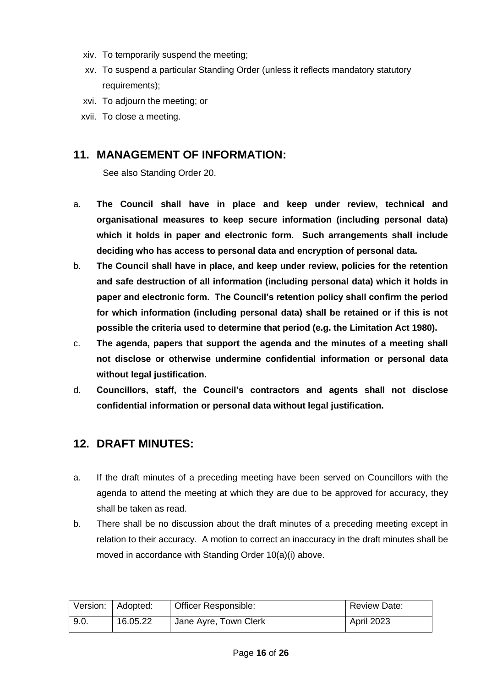- xiv. To temporarily suspend the meeting;
- xv. To suspend a particular Standing Order (unless it reflects mandatory statutory requirements);
- xvi. To adjourn the meeting; or
- xvii. To close a meeting.

#### **11. MANAGEMENT OF INFORMATION:**

See also Standing Order 20.

- a. **The Council shall have in place and keep under review, technical and organisational measures to keep secure information (including personal data) which it holds in paper and electronic form. Such arrangements shall include deciding who has access to personal data and encryption of personal data.**
- b. **The Council shall have in place, and keep under review, policies for the retention and safe destruction of all information (including personal data) which it holds in paper and electronic form. The Council's retention policy shall confirm the period for which information (including personal data) shall be retained or if this is not possible the criteria used to determine that period (e.g. the Limitation Act 1980).**
- c. **The agenda, papers that support the agenda and the minutes of a meeting shall not disclose or otherwise undermine confidential information or personal data without legal justification.**
- d. **Councillors, staff, the Council's contractors and agents shall not disclose confidential information or personal data without legal justification.**

#### **12. DRAFT MINUTES:**

- a. If the draft minutes of a preceding meeting have been served on Councillors with the agenda to attend the meeting at which they are due to be approved for accuracy, they shall be taken as read.
- b. There shall be no discussion about the draft minutes of a preceding meeting except in relation to their accuracy. A motion to correct an inaccuracy in the draft minutes shall be moved in accordance with Standing Order 10(a)(i) above.

|      | Version:   Adopted: | <b>Officer Responsible:</b> | Review Date: |
|------|---------------------|-----------------------------|--------------|
| 9.0. | 16.05.22            | Jane Ayre, Town Clerk       | April 2023   |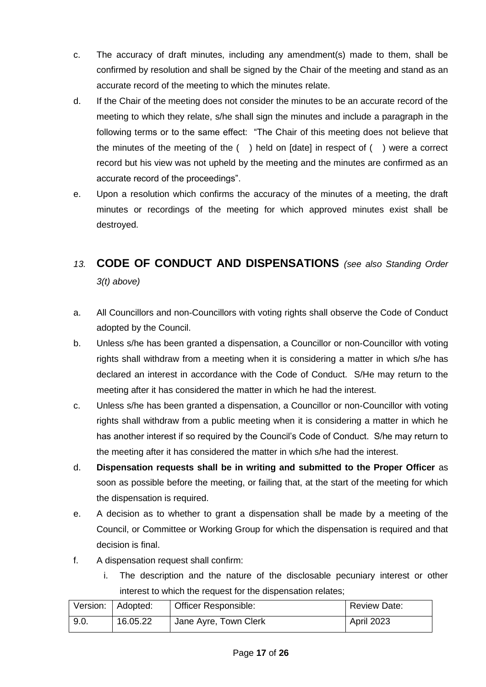- c. The accuracy of draft minutes, including any amendment(s) made to them, shall be confirmed by resolution and shall be signed by the Chair of the meeting and stand as an accurate record of the meeting to which the minutes relate.
- d. If the Chair of the meeting does not consider the minutes to be an accurate record of the meeting to which they relate, s/he shall sign the minutes and include a paragraph in the following terms or to the same effect: "The Chair of this meeting does not believe that the minutes of the meeting of the ( ) held on [date] in respect of ( ) were a correct record but his view was not upheld by the meeting and the minutes are confirmed as an accurate record of the proceedings".
- e. Upon a resolution which confirms the accuracy of the minutes of a meeting, the draft minutes or recordings of the meeting for which approved minutes exist shall be destroyed.

### *13.* **CODE OF CONDUCT AND DISPENSATIONS** *(see also Standing Order 3(t) above)*

- a. All Councillors and non-Councillors with voting rights shall observe the Code of Conduct adopted by the Council.
- b. Unless s/he has been granted a dispensation, a Councillor or non-Councillor with voting rights shall withdraw from a meeting when it is considering a matter in which s/he has declared an interest in accordance with the Code of Conduct. S/He may return to the meeting after it has considered the matter in which he had the interest.
- c. Unless s/he has been granted a dispensation, a Councillor or non-Councillor with voting rights shall withdraw from a public meeting when it is considering a matter in which he has another interest if so required by the Council's Code of Conduct. S/he may return to the meeting after it has considered the matter in which s/he had the interest.
- d. **Dispensation requests shall be in writing and submitted to the Proper Officer** as soon as possible before the meeting, or failing that, at the start of the meeting for which the dispensation is required.
- e. A decision as to whether to grant a dispensation shall be made by a meeting of the Council, or Committee or Working Group for which the dispensation is required and that decision is final.
- f. A dispensation request shall confirm:
	- i. The description and the nature of the disclosable pecuniary interest or other interest to which the request for the dispensation relates;

|      | Version:   Adopted: | <b>Officer Responsible:</b> | <b>Review Date:</b> |
|------|---------------------|-----------------------------|---------------------|
| 9.0. | 16.05.22            | Jane Ayre, Town Clerk       | <b>April 2023</b>   |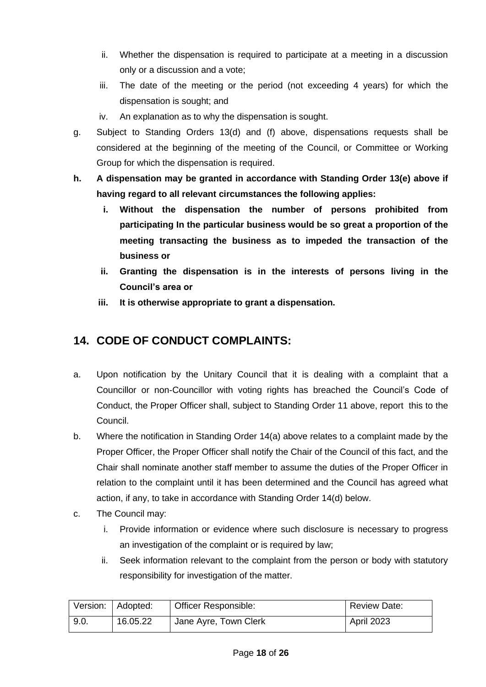- ii. Whether the dispensation is required to participate at a meeting in a discussion only or a discussion and a vote;
- iii. The date of the meeting or the period (not exceeding 4 years) for which the dispensation is sought; and
- iv. An explanation as to why the dispensation is sought.
- g. Subject to Standing Orders 13(d) and (f) above, dispensations requests shall be considered at the beginning of the meeting of the Council, or Committee or Working Group for which the dispensation is required.
- **h. A dispensation may be granted in accordance with Standing Order 13(e) above if having regard to all relevant circumstances the following applies:**
	- **i. Without the dispensation the number of persons prohibited from participating In the particular business would be so great a proportion of the meeting transacting the business as to impeded the transaction of the business or**
	- **ii. Granting the dispensation is in the interests of persons living in the Council's area or**
	- **iii. It is otherwise appropriate to grant a dispensation.**

#### **14. CODE OF CONDUCT COMPLAINTS:**

- a. Upon notification by the Unitary Council that it is dealing with a complaint that a Councillor or non-Councillor with voting rights has breached the Council's Code of Conduct, the Proper Officer shall, subject to Standing Order 11 above, report this to the Council.
- b. Where the notification in Standing Order 14(a) above relates to a complaint made by the Proper Officer, the Proper Officer shall notify the Chair of the Council of this fact, and the Chair shall nominate another staff member to assume the duties of the Proper Officer in relation to the complaint until it has been determined and the Council has agreed what action, if any, to take in accordance with Standing Order 14(d) below.
- c. The Council may:
	- i. Provide information or evidence where such disclosure is necessary to progress an investigation of the complaint or is required by law;
	- ii. Seek information relevant to the complaint from the person or body with statutory responsibility for investigation of the matter.

|      | Version: Adopted: | Officer Responsible:  | <b>Review Date:</b> |
|------|-------------------|-----------------------|---------------------|
| 9.0. | 16.05.22          | Jane Ayre, Town Clerk | <b>April 2023</b>   |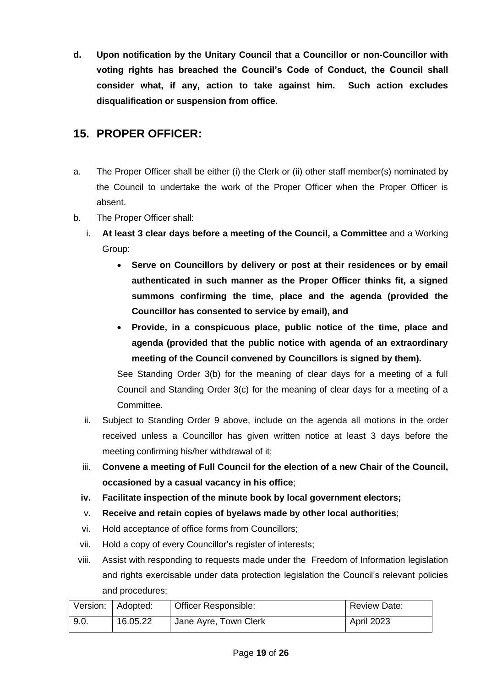**d. Upon notification by the Unitary Council that a Councillor or non-Councillor with voting rights has breached the Council's Code of Conduct, the Council shall consider what, if any, action to take against him. Such action excludes disqualification or suspension from office.** 

#### **15. PROPER OFFICER:**

- a. The Proper Officer shall be either (i) the Clerk or (ii) other staff member(s) nominated by the Council to undertake the work of the Proper Officer when the Proper Officer is absent.
- b. The Proper Officer shall:
	- i. **At least 3 clear days before a meeting of the Council, a Committee** and a Working Group:
		- **Serve on Councillors by delivery or post at their residences or by email authenticated in such manner as the Proper Officer thinks fit, a signed summons confirming the time, place and the agenda (provided the Councillor has consented to service by email), and**
		- **Provide, in a conspicuous place, public notice of the time, place and agenda (provided that the public notice with agenda of an extraordinary meeting of the Council convened by Councillors is signed by them).**

See Standing Order 3(b) for the meaning of clear days for a meeting of a full Council and Standing Order 3(c) for the meaning of clear days for a meeting of a Committee.

- ii. Subject to Standing Order 9 above, include on the agenda all motions in the order received unless a Councillor has given written notice at least 3 days before the meeting confirming his/her withdrawal of it;
- iii. **Convene a meeting of Full Council for the election of a new Chair of the Council, occasioned by a casual vacancy in his office**;
- **iv. Facilitate inspection of the minute book by local government electors;**
- v. **Receive and retain copies of byelaws made by other local authorities**;
- vi. Hold acceptance of office forms from Councillors;
- vii. Hold a copy of every Councillor's register of interests;
- viii. Assist with responding to requests made under the Freedom of Information legislation and rights exercisable under data protection legislation the Council's relevant policies and procedures;

|      | Version:   Adopted: | Officer Responsible:  | Review Date:      |
|------|---------------------|-----------------------|-------------------|
| 9.0. | 16.05.22            | Jane Ayre, Town Clerk | <b>April 2023</b> |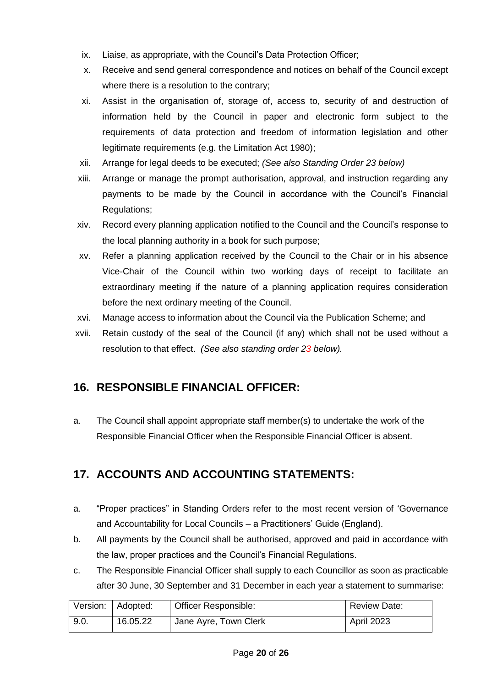- ix. Liaise, as appropriate, with the Council's Data Protection Officer;
- x. Receive and send general correspondence and notices on behalf of the Council except where there is a resolution to the contrary;
- xi. Assist in the organisation of, storage of, access to, security of and destruction of information held by the Council in paper and electronic form subject to the requirements of data protection and freedom of information legislation and other legitimate requirements (e.g. the Limitation Act 1980);
- xii. Arrange for legal deeds to be executed; *(See also Standing Order 23 below)*
- xiii. Arrange or manage the prompt authorisation, approval, and instruction regarding any payments to be made by the Council in accordance with the Council's Financial Regulations;
- xiv. Record every planning application notified to the Council and the Council's response to the local planning authority in a book for such purpose;
- xv. Refer a planning application received by the Council to the Chair or in his absence Vice-Chair of the Council within two working days of receipt to facilitate an extraordinary meeting if the nature of a planning application requires consideration before the next ordinary meeting of the Council.
- xvi. Manage access to information about the Council via the Publication Scheme; and
- xvii. Retain custody of the seal of the Council (if any) which shall not be used without a resolution to that effect. *(See also standing order 23 below).*

#### **16. RESPONSIBLE FINANCIAL OFFICER:**

a. The Council shall appoint appropriate staff member(s) to undertake the work of the Responsible Financial Officer when the Responsible Financial Officer is absent.

#### **17. ACCOUNTS AND ACCOUNTING STATEMENTS:**

- a. "Proper practices" in Standing Orders refer to the most recent version of 'Governance and Accountability for Local Councils – a Practitioners' Guide (England).
- b. All payments by the Council shall be authorised, approved and paid in accordance with the law, proper practices and the Council's Financial Regulations.
- c. The Responsible Financial Officer shall supply to each Councillor as soon as practicable after 30 June, 30 September and 31 December in each year a statement to summarise:

|      | Version:   Adopted: | Officer Responsible:  | <b>Review Date:</b> |
|------|---------------------|-----------------------|---------------------|
| 9.0. | 16.05.22            | Jane Ayre, Town Clerk | <b>April 2023</b>   |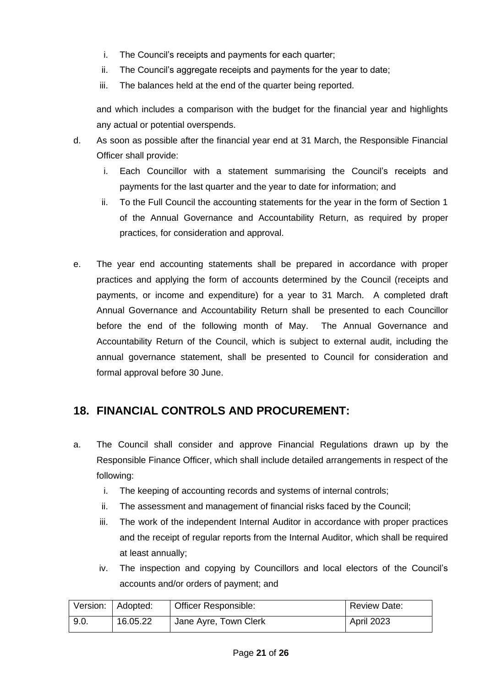- i. The Council's receipts and payments for each quarter;
- ii. The Council's aggregate receipts and payments for the year to date;
- iii. The balances held at the end of the quarter being reported.

and which includes a comparison with the budget for the financial year and highlights any actual or potential overspends.

- d. As soon as possible after the financial year end at 31 March, the Responsible Financial Officer shall provide:
	- i. Each Councillor with a statement summarising the Council's receipts and payments for the last quarter and the year to date for information; and
	- ii. To the Full Council the accounting statements for the year in the form of Section 1 of the Annual Governance and Accountability Return, as required by proper practices, for consideration and approval.
- e. The year end accounting statements shall be prepared in accordance with proper practices and applying the form of accounts determined by the Council (receipts and payments, or income and expenditure) for a year to 31 March. A completed draft Annual Governance and Accountability Return shall be presented to each Councillor before the end of the following month of May. The Annual Governance and Accountability Return of the Council, which is subject to external audit, including the annual governance statement, shall be presented to Council for consideration and formal approval before 30 June.

#### **18. FINANCIAL CONTROLS AND PROCUREMENT:**

- a. The Council shall consider and approve Financial Regulations drawn up by the Responsible Finance Officer, which shall include detailed arrangements in respect of the following:
	- i. The keeping of accounting records and systems of internal controls;
	- ii. The assessment and management of financial risks faced by the Council;
	- iii. The work of the independent Internal Auditor in accordance with proper practices and the receipt of regular reports from the Internal Auditor, which shall be required at least annually;
	- iv. The inspection and copying by Councillors and local electors of the Council's accounts and/or orders of payment; and

|      | Version:   Adopted: | Officer Responsible:  | <b>Review Date:</b> |
|------|---------------------|-----------------------|---------------------|
| 9.0. | 16.05.22            | Jane Ayre, Town Clerk | <b>April 2023</b>   |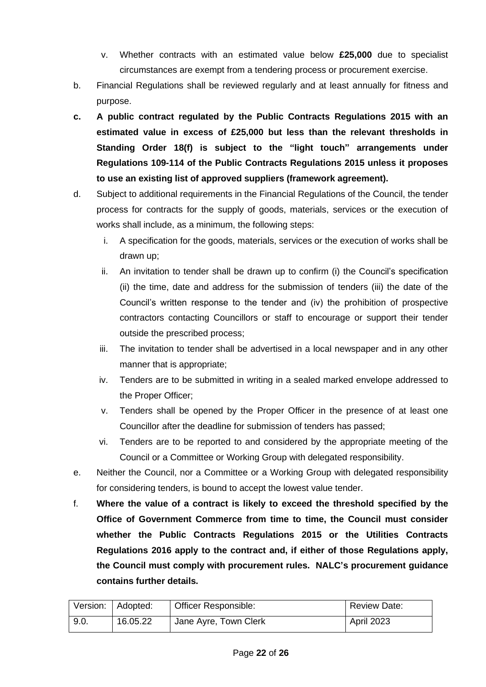- v. Whether contracts with an estimated value below **£25,000** due to specialist circumstances are exempt from a tendering process or procurement exercise.
- b. Financial Regulations shall be reviewed regularly and at least annually for fitness and purpose.
- **c. A public contract regulated by the Public Contracts Regulations 2015 with an estimated value in excess of £25,000 but less than the relevant thresholds in Standing Order 18(f) is subject to the "light touch" arrangements under Regulations 109-114 of the Public Contracts Regulations 2015 unless it proposes to use an existing list of approved suppliers (framework agreement).**
- d. Subject to additional requirements in the Financial Regulations of the Council, the tender process for contracts for the supply of goods, materials, services or the execution of works shall include, as a minimum, the following steps:
	- i. A specification for the goods, materials, services or the execution of works shall be drawn up;
	- ii. An invitation to tender shall be drawn up to confirm (i) the Council's specification (ii) the time, date and address for the submission of tenders (iii) the date of the Council's written response to the tender and (iv) the prohibition of prospective contractors contacting Councillors or staff to encourage or support their tender outside the prescribed process;
	- iii. The invitation to tender shall be advertised in a local newspaper and in any other manner that is appropriate;
	- iv. Tenders are to be submitted in writing in a sealed marked envelope addressed to the Proper Officer;
	- v. Tenders shall be opened by the Proper Officer in the presence of at least one Councillor after the deadline for submission of tenders has passed;
	- vi. Tenders are to be reported to and considered by the appropriate meeting of the Council or a Committee or Working Group with delegated responsibility.
- e. Neither the Council, nor a Committee or a Working Group with delegated responsibility for considering tenders, is bound to accept the lowest value tender.
- f. **Where the value of a contract is likely to exceed the threshold specified by the Office of Government Commerce from time to time, the Council must consider whether the Public Contracts Regulations 2015 or the Utilities Contracts Regulations 2016 apply to the contract and, if either of those Regulations apply, the Council must comply with procurement rules. NALC's procurement guidance contains further details.**

|      | Version:   Adopted: | <b>Officer Responsible:</b> | <b>Review Date:</b> |
|------|---------------------|-----------------------------|---------------------|
| 9.0. | 16.05.22            | Jane Ayre, Town Clerk       | <b>April 2023</b>   |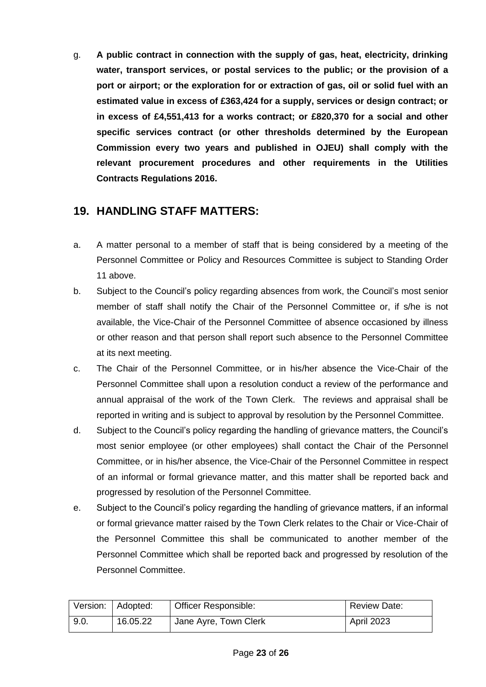g. **A public contract in connection with the supply of gas, heat, electricity, drinking water, transport services, or postal services to the public; or the provision of a port or airport; or the exploration for or extraction of gas, oil or solid fuel with an estimated value in excess of £363,424 for a supply, services or design contract; or in excess of £4,551,413 for a works contract; or £820,370 for a social and other specific services contract (or other thresholds determined by the European Commission every two years and published in OJEU) shall comply with the relevant procurement procedures and other requirements in the Utilities Contracts Regulations 2016.**

#### **19. HANDLING STAFF MATTERS:**

- a. A matter personal to a member of staff that is being considered by a meeting of the Personnel Committee or Policy and Resources Committee is subject to Standing Order 11 above.
- b. Subject to the Council's policy regarding absences from work, the Council's most senior member of staff shall notify the Chair of the Personnel Committee or, if s/he is not available, the Vice-Chair of the Personnel Committee of absence occasioned by illness or other reason and that person shall report such absence to the Personnel Committee at its next meeting.
- c. The Chair of the Personnel Committee, or in his/her absence the Vice-Chair of the Personnel Committee shall upon a resolution conduct a review of the performance and annual appraisal of the work of the Town Clerk. The reviews and appraisal shall be reported in writing and is subject to approval by resolution by the Personnel Committee.
- d. Subject to the Council's policy regarding the handling of grievance matters, the Council's most senior employee (or other employees) shall contact the Chair of the Personnel Committee, or in his/her absence, the Vice-Chair of the Personnel Committee in respect of an informal or formal grievance matter, and this matter shall be reported back and progressed by resolution of the Personnel Committee.
- e. Subject to the Council's policy regarding the handling of grievance matters, if an informal or formal grievance matter raised by the Town Clerk relates to the Chair or Vice-Chair of the Personnel Committee this shall be communicated to another member of the Personnel Committee which shall be reported back and progressed by resolution of the Personnel Committee.

|      | Version:   Adopted: | Officer Responsible:  | <b>Review Date:</b> |
|------|---------------------|-----------------------|---------------------|
| 9.0. | 16.05.22            | Jane Ayre, Town Clerk | <b>April 2023</b>   |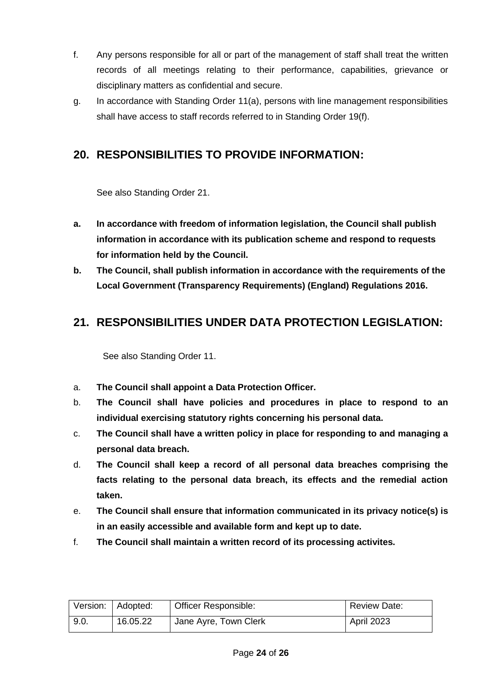- f. Any persons responsible for all or part of the management of staff shall treat the written records of all meetings relating to their performance, capabilities, grievance or disciplinary matters as confidential and secure.
- g. In accordance with Standing Order 11(a), persons with line management responsibilities shall have access to staff records referred to in Standing Order 19(f).

#### **20. RESPONSIBILITIES TO PROVIDE INFORMATION:**

See also Standing Order 21.

- **a. In accordance with freedom of information legislation, the Council shall publish information in accordance with its publication scheme and respond to requests for information held by the Council.**
- **b. The Council, shall publish information in accordance with the requirements of the Local Government (Transparency Requirements) (England) Regulations 2016.**

#### **21. RESPONSIBILITIES UNDER DATA PROTECTION LEGISLATION:**

See also Standing Order 11.

- a. **The Council shall appoint a Data Protection Officer.**
- b. **The Council shall have policies and procedures in place to respond to an individual exercising statutory rights concerning his personal data.**
- c. **The Council shall have a written policy in place for responding to and managing a personal data breach.**
- d. **The Council shall keep a record of all personal data breaches comprising the facts relating to the personal data breach, its effects and the remedial action taken.**
- e. **The Council shall ensure that information communicated in its privacy notice(s) is in an easily accessible and available form and kept up to date.**
- f. **The Council shall maintain a written record of its processing activites.**

|      | Version:   Adopted: | <b>Officer Responsible:</b> | <b>Review Date:</b> |
|------|---------------------|-----------------------------|---------------------|
| 9.0. | 16.05.22            | Jane Ayre, Town Clerk       | April 2023          |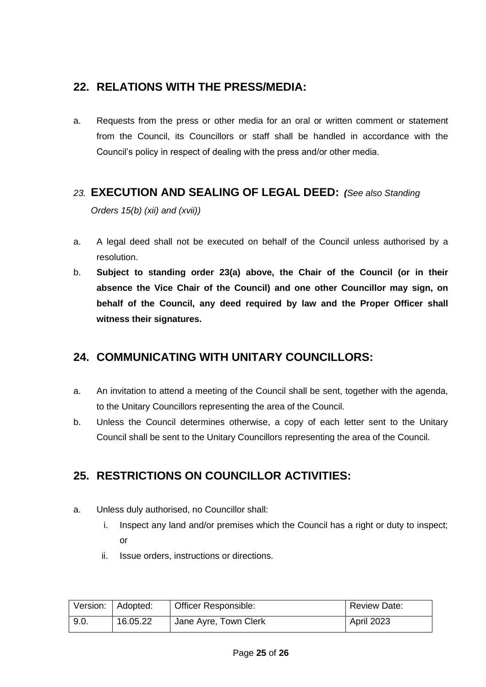#### **22. RELATIONS WITH THE PRESS/MEDIA:**

a. Requests from the press or other media for an oral or written comment or statement from the Council, its Councillors or staff shall be handled in accordance with the Council's policy in respect of dealing with the press and/or other media.

#### *23.* **EXECUTION AND SEALING OF LEGAL DEED:** *(See also Standing*

*Orders 15(b) (xii) and (xvii))*

- a. A legal deed shall not be executed on behalf of the Council unless authorised by a resolution.
- b. **Subject to standing order 23(a) above, the Chair of the Council (or in their absence the Vice Chair of the Council) and one other Councillor may sign, on behalf of the Council, any deed required by law and the Proper Officer shall witness their signatures.**

#### **24. COMMUNICATING WITH UNITARY COUNCILLORS:**

- a. An invitation to attend a meeting of the Council shall be sent, together with the agenda, to the Unitary Councillors representing the area of the Council.
- b. Unless the Council determines otherwise, a copy of each letter sent to the Unitary Council shall be sent to the Unitary Councillors representing the area of the Council.

#### **25. RESTRICTIONS ON COUNCILLOR ACTIVITIES:**

- a. Unless duly authorised, no Councillor shall:
	- i. Inspect any land and/or premises which the Council has a right or duty to inspect; or
	- ii. Issue orders, instructions or directions.

|      | Version:   Adopted: | <b>Officer Responsible:</b> | Review Date: |
|------|---------------------|-----------------------------|--------------|
| 9.0. | 16.05.22            | Jane Ayre, Town Clerk       | April 2023   |